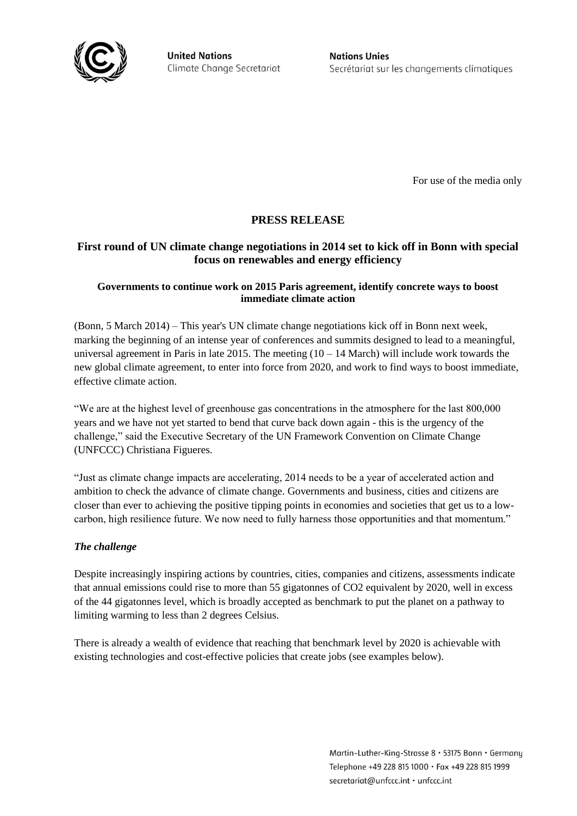

**United Nations** Climate Change Secretariat **Nations Unies** Secrétariat sur les changements climatiques

For use of the media only

# **PRESS RELEASE**

## **First round of UN climate change negotiations in 2014 set to kick off in Bonn with special focus on renewables and energy efficiency**

## **Governments to continue work on 2015 Paris agreement, identify concrete ways to boost immediate climate action**

(Bonn, 5 March 2014) – This year's UN climate change negotiations kick off in Bonn next week, marking the beginning of an intense year of conferences and summits designed to lead to a meaningful, universal agreement in Paris in late 2015. The meeting  $(10 - 14$  March) will include work towards the new global climate agreement, to enter into force from 2020, and work to find ways to boost immediate, effective climate action.

"We are at the highest level of greenhouse gas concentrations in the atmosphere for the last 800,000 years and we have not yet started to bend that curve back down again - this is the urgency of the challenge," said the Executive Secretary of the UN Framework Convention on Climate Change (UNFCCC) Christiana Figueres.

"Just as climate change impacts are accelerating, 2014 needs to be a year of accelerated action and ambition to check the advance of climate change. Governments and business, cities and citizens are closer than ever to achieving the positive tipping points in economies and societies that get us to a lowcarbon, high resilience future. We now need to fully harness those opportunities and that momentum."

## *The challenge*

Despite increasingly inspiring actions by countries, cities, companies and citizens, assessments indicate that annual emissions could rise to more than 55 gigatonnes of CO2 equivalent by 2020, well in excess of the 44 gigatonnes level, which is broadly accepted as benchmark to put the planet on a pathway to limiting warming to less than 2 degrees Celsius.

There is already a wealth of evidence that reaching that benchmark level by 2020 is achievable with existing technologies and cost-effective policies that create jobs (see examples below).

> Martin-Luther-King-Strasse 8 · 53175 Bonn · Germany Telephone +49 228 815 1000 · Fax +49 228 815 1999 secretariat@unfccc.int · unfccc.int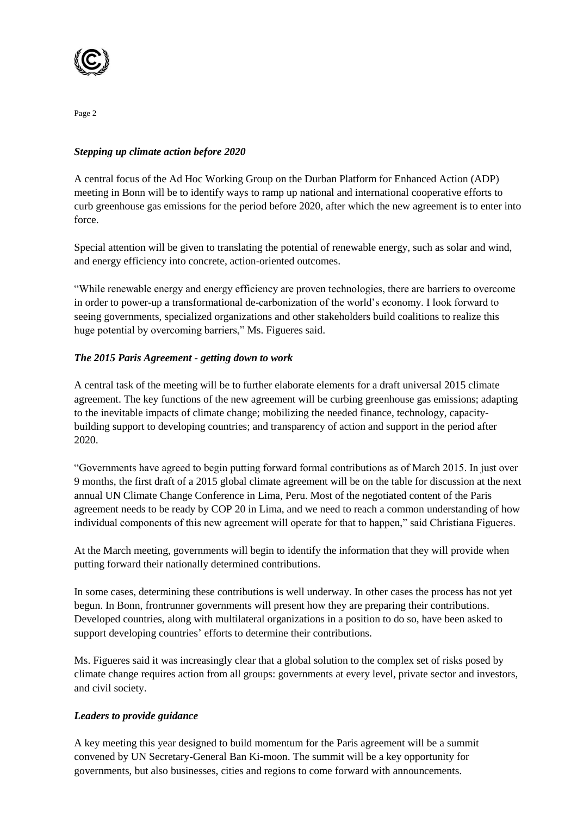

## *Stepping up climate action before 2020*

A central focus of the Ad Hoc Working Group on the Durban Platform for Enhanced Action (ADP) meeting in Bonn will be to identify ways to ramp up national and international cooperative efforts to curb greenhouse gas emissions for the period before 2020, after which the new agreement is to enter into force.

Special attention will be given to translating the potential of renewable energy, such as solar and wind, and energy efficiency into concrete, action-oriented outcomes.

"While renewable energy and energy efficiency are proven technologies, there are barriers to overcome in order to power-up a transformational de-carbonization of the world's economy. I look forward to seeing governments, specialized organizations and other stakeholders build coalitions to realize this huge potential by overcoming barriers," Ms. Figueres said.

## *The 2015 Paris Agreement - getting down to work*

A central task of the meeting will be to further elaborate elements for a draft universal 2015 climate agreement. The key functions of the new agreement will be curbing greenhouse gas emissions; adapting to the inevitable impacts of climate change; mobilizing the needed finance, technology, capacitybuilding support to developing countries; and transparency of action and support in the period after 2020.

"Governments have agreed to begin putting forward formal contributions as of March 2015. In just over 9 months, the first draft of a 2015 global climate agreement will be on the table for discussion at the next annual UN Climate Change Conference in Lima, Peru. Most of the negotiated content of the Paris agreement needs to be ready by COP 20 in Lima, and we need to reach a common understanding of how individual components of this new agreement will operate for that to happen," said Christiana Figueres.

At the March meeting, governments will begin to identify the information that they will provide when putting forward their nationally determined contributions.

In some cases, determining these contributions is well underway. In other cases the process has not yet begun. In Bonn, frontrunner governments will present how they are preparing their contributions. Developed countries, along with multilateral organizations in a position to do so, have been asked to support developing countries' efforts to determine their contributions.

Ms. Figueres said it was increasingly clear that a global solution to the complex set of risks posed by climate change requires action from all groups: governments at every level, private sector and investors, and civil society.

## *Leaders to provide guidance*

A key meeting this year designed to build momentum for the Paris agreement will be a summit convened by UN Secretary-General Ban Ki-moon. The summit will be a key opportunity for governments, but also businesses, cities and regions to come forward with announcements.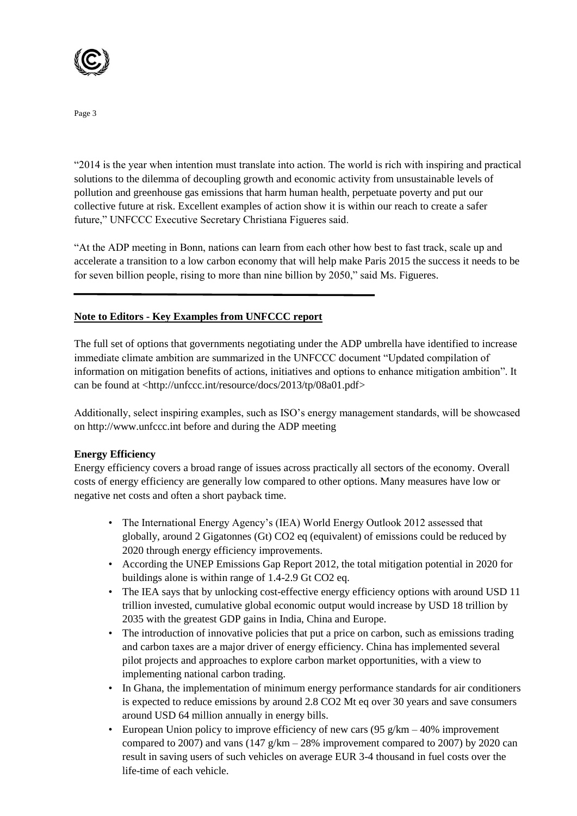

"2014 is the year when intention must translate into action. The world is rich with inspiring and practical solutions to the dilemma of decoupling growth and economic activity from unsustainable levels of pollution and greenhouse gas emissions that harm human health, perpetuate poverty and put our collective future at risk. Excellent examples of action show it is within our reach to create a safer future," UNFCCC Executive Secretary Christiana Figueres said.

"At the ADP meeting in Bonn, nations can learn from each other how best to fast track, scale up and accelerate a transition to a low carbon economy that will help make Paris 2015 the success it needs to be for seven billion people, rising to more than nine billion by 2050," said Ms. Figueres.

## **Note to Editors - Key Examples from UNFCCC report**

The full set of options that governments negotiating under the ADP umbrella have identified to increase immediate climate ambition are summarized in the UNFCCC document "Updated compilation of information on mitigation benefits of actions, initiatives and options to enhance mitigation ambition". It can be found at [<http://unfccc.int/resource/docs/2013/tp/08a01.pdf>](http://unfccc.int/resource/docs/2013/tp/08a01.pdf)

Additionally, select inspiring examples, such as ISO's energy management standards, will be showcased on http://www.unfccc.int before and during the ADP meeting

## **Energy Efficiency**

Energy efficiency covers a broad range of issues across practically all sectors of the economy. Overall costs of energy efficiency are generally low compared to other options. Many measures have low or negative net costs and often a short payback time.

- The International Energy Agency's (IEA) World Energy Outlook 2012 assessed that globally, around 2 Gigatonnes (Gt) CO2 eq (equivalent) of emissions could be reduced by 2020 through energy efficiency improvements.
- According the UNEP Emissions Gap Report 2012, the total mitigation potential in 2020 for buildings alone is within range of 1.4-2.9 Gt CO2 eq.
- The IEA says that by unlocking cost-effective energy efficiency options with around USD 11 trillion invested, cumulative global economic output would increase by USD 18 trillion by 2035 with the greatest GDP gains in India, China and Europe.
- The introduction of innovative policies that put a price on carbon, such as emissions trading and carbon taxes are a major driver of energy efficiency. China has implemented several pilot projects and approaches to explore carbon market opportunities, with a view to implementing national carbon trading.
- In Ghana, the implementation of minimum energy performance standards for air conditioners is expected to reduce emissions by around 2.8 CO2 Mt eq over 30 years and save consumers around USD 64 million annually in energy bills.
- European Union policy to improve efficiency of new cars  $(95 \text{ g/km} 40\%$  improvement compared to 2007) and vans  $(147 \text{ g/km} - 28\%$  improvement compared to 2007) by 2020 can result in saving users of such vehicles on average EUR 3-4 thousand in fuel costs over the life-time of each vehicle.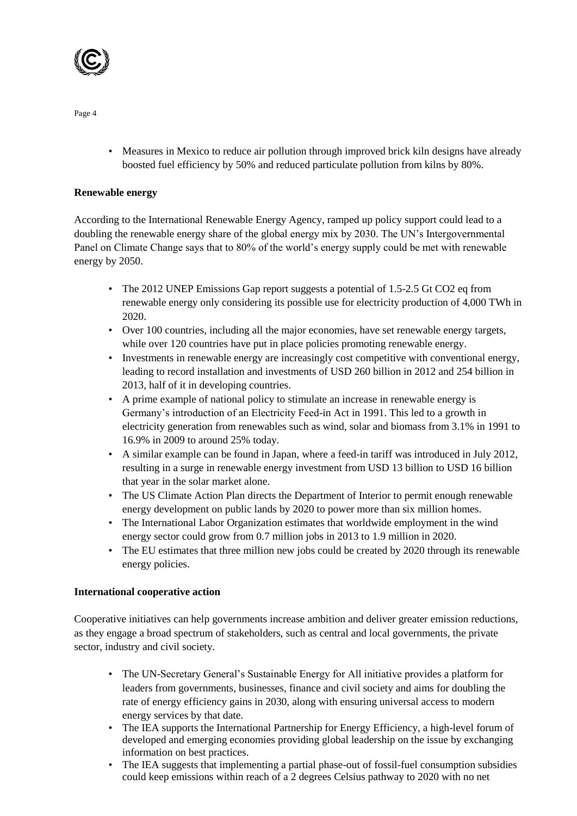

• Measures in Mexico to reduce air pollution through improved brick kiln designs have already boosted fuel efficiency by 50% and reduced particulate pollution from kilns by 80%.

#### **Renewable energy**

According to the International Renewable Energy Agency, ramped up policy support could lead to a doubling the renewable energy share of the global energy mix by 2030. The UN's Intergovernmental Panel on Climate Change says that to 80% of the world's energy supply could be met with renewable energy by 2050.

- The 2012 UNEP Emissions Gap report suggests a potential of 1.5-2.5 Gt CO2 eq from renewable energy only considering its possible use for electricity production of 4,000 TWh in 2020.
- Over 100 countries, including all the major economies, have set renewable energy targets, while over 120 countries have put in place policies promoting renewable energy.
- Investments in renewable energy are increasingly cost competitive with conventional energy, leading to record installation and investments of USD 260 billion in 2012 and 254 billion in 2013, half of it in developing countries.
- A prime example of national policy to stimulate an increase in renewable energy is Germany's introduction of an Electricity Feed-in Act in 1991. This led to a growth in electricity generation from renewables such as wind, solar and biomass from 3.1% in 1991 to 16.9% in 2009 to around 25% today.
- A similar example can be found in Japan, where a feed-in tariff was introduced in July 2012, resulting in a surge in renewable energy investment from USD 13 billion to USD 16 billion that year in the solar market alone.
- The US Climate Action Plan directs the Department of Interior to permit enough renewable energy development on public lands by 2020 to power more than six million homes.
- The International Labor Organization estimates that worldwide employment in the wind energy sector could grow from 0.7 million jobs in 2013 to 1.9 million in 2020.
- The EU estimates that three million new jobs could be created by 2020 through its renewable energy policies.

## **International cooperative action**

Cooperative initiatives can help governments increase ambition and deliver greater emission reductions, as they engage a broad spectrum of stakeholders, such as central and local governments, the private sector, industry and civil society.

- The UN-Secretary General's Sustainable Energy for All initiative provides a platform for leaders from governments, businesses, finance and civil society and aims for doubling the rate of energy efficiency gains in 2030, along with ensuring universal access to modern energy services by that date.
- The IEA supports the International Partnership for Energy Efficiency, a high-level forum of developed and emerging economies providing global leadership on the issue by exchanging information on best practices.
- The IEA suggests that implementing a partial phase-out of fossil-fuel consumption subsidies could keep emissions within reach of a 2 degrees Celsius pathway to 2020 with no net

Page 4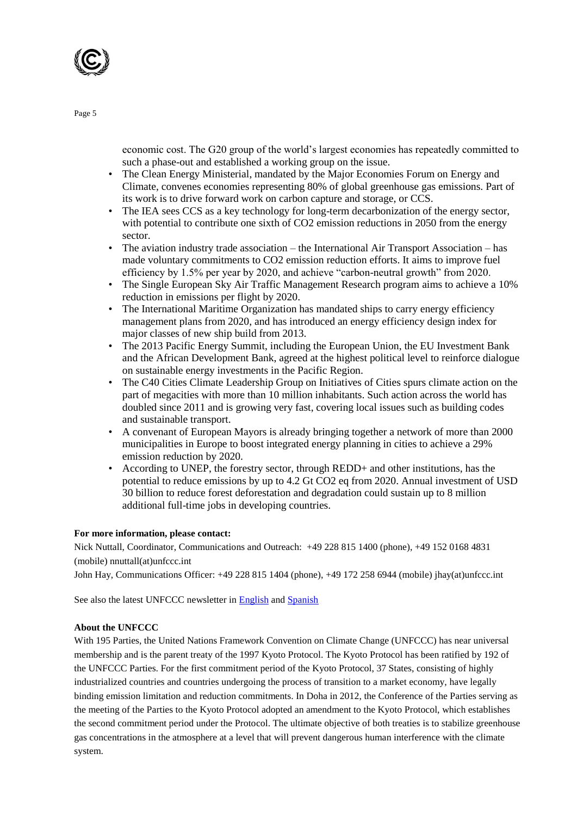

economic cost. The G20 group of the world's largest economies has repeatedly committed to such a phase-out and established a working group on the issue.

- The Clean Energy Ministerial, mandated by the Major Economies Forum on Energy and Climate, convenes economies representing 80% of global greenhouse gas emissions. Part of its work is to drive forward work on carbon capture and storage, or CCS.
- The IEA sees CCS as a key technology for long-term decarbonization of the energy sector, with potential to contribute one sixth of CO2 emission reductions in 2050 from the energy sector.
- The aviation industry trade association the International Air Transport Association has made voluntary commitments to CO2 emission reduction efforts. It aims to improve fuel efficiency by 1.5% per year by 2020, and achieve "carbon-neutral growth" from 2020.
- The Single European Sky Air Traffic Management Research program aims to achieve a 10% reduction in emissions per flight by 2020.
- The International Maritime Organization has mandated ships to carry energy efficiency management plans from 2020, and has introduced an energy efficiency design index for major classes of new ship build from 2013.
- The 2013 Pacific Energy Summit, including the European Union, the EU Investment Bank and the African Development Bank, agreed at the highest political level to reinforce dialogue on sustainable energy investments in the Pacific Region.
- The C40 Cities Climate Leadership Group on Initiatives of Cities spurs climate action on the part of megacities with more than 10 million inhabitants. Such action across the world has doubled since 2011 and is growing very fast, covering local issues such as building codes and sustainable transport.
- A convenant of European Mayors is already bringing together a network of more than 2000 municipalities in Europe to boost integrated energy planning in cities to achieve a 29% emission reduction by 2020.
- According to UNEP, the forestry sector, through REDD+ and other institutions, has the potential to reduce emissions by up to 4.2 Gt CO2 eq from 2020. Annual investment of USD 30 billion to reduce forest deforestation and degradation could sustain up to 8 million additional full-time jobs in developing countries.

#### **For more information, please contact:**

Nick Nuttall, Coordinator, Communications and Outreach: +49 228 815 1400 (phone), +49 152 0168 4831 (mobile) nnuttall(at)unfccc.int

John Hay, Communications Officer: +49 228 815 1404 (phone), +49 172 258 6944 (mobile) jhay(at)unfccc.int

See also the latest UNFCCC newsletter in **English** and **Spanish** 

#### **About the UNFCCC**

With 195 Parties, the United Nations Framework Convention on Climate Change (UNFCCC) has near universal membership and is the parent treaty of the 1997 Kyoto Protocol. The Kyoto Protocol has been ratified by 192 of the UNFCCC Parties. For the first commitment period of the Kyoto Protocol, 37 States, consisting of highly industrialized countries and countries undergoing the process of transition to a market economy, have legally binding emission limitation and reduction commitments. In Doha in 2012, the Conference of the Parties serving as the meeting of the Parties to the Kyoto Protocol adopted an amendment to the Kyoto Protocol, which establishes the second commitment period under the Protocol. The ultimate objective of both treaties is to stabilize greenhouse gas concentrations in the atmosphere at a level that will prevent dangerous human interference with the climate system.